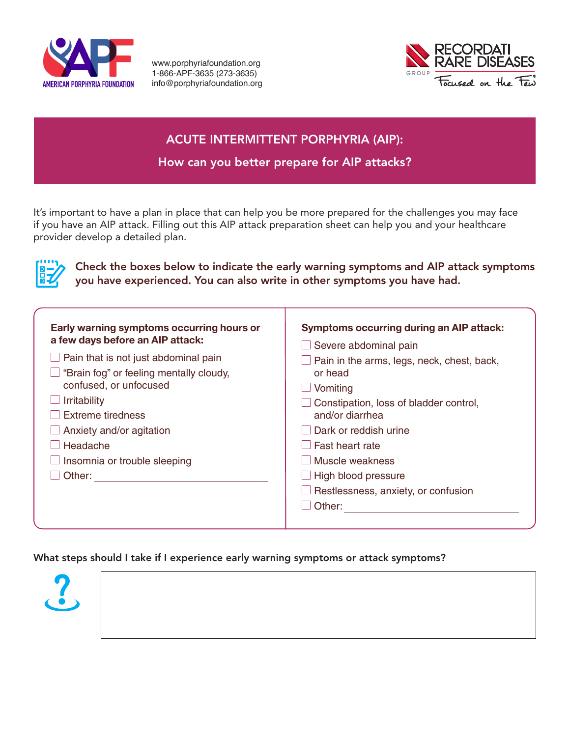

www.porphyriafoundation.org 1-866-APF-3635 (273-3635) info@porphyriafoundation.org



## ACUTE INTERMITTENT PORPHYRIA (AIP):

How can you better prepare for AIP attacks?

It's important to have a plan in place that can help you be more prepared for the challenges you may face if you have an AIP attack. Filling out this AIP attack preparation sheet can help you and your healthcare provider develop a detailed plan.



Check the boxes below to indicate the early warning symptoms and AIP attack symptoms you have experienced. You can also write in other symptoms you have had.

| Early warning symptoms occurring hours or<br>a few days before an AIP attack:<br>$\Box$ Pain that is not just abdominal pain<br>"Brain fog" or feeling mentally cloudy,<br>confused, or unfocused<br>Irritability<br>Extreme tiredness<br>$\Box$ Anxiety and/or agitation<br>Headache<br>$\Box$ Insomnia or trouble sleeping<br>Other: | <b>Symptoms occurring during an AIP attack:</b><br>$\Box$ Severe abdominal pain<br>Pain in the arms, legs, neck, chest, back,<br>or head<br>$\Box$ Vomiting<br>Constipation, loss of bladder control,<br>and/or diarrhea<br>Dark or reddish urine<br>□ Fast heart rate<br>Muscle weakness<br>$\Box$ High blood pressure<br>$\Box$ Restlessness, anxiety, or confusion<br>$\Box$ Other: |
|----------------------------------------------------------------------------------------------------------------------------------------------------------------------------------------------------------------------------------------------------------------------------------------------------------------------------------------|----------------------------------------------------------------------------------------------------------------------------------------------------------------------------------------------------------------------------------------------------------------------------------------------------------------------------------------------------------------------------------------|
|----------------------------------------------------------------------------------------------------------------------------------------------------------------------------------------------------------------------------------------------------------------------------------------------------------------------------------------|----------------------------------------------------------------------------------------------------------------------------------------------------------------------------------------------------------------------------------------------------------------------------------------------------------------------------------------------------------------------------------------|

What steps should I take if I experience early warning symptoms or attack symptoms?

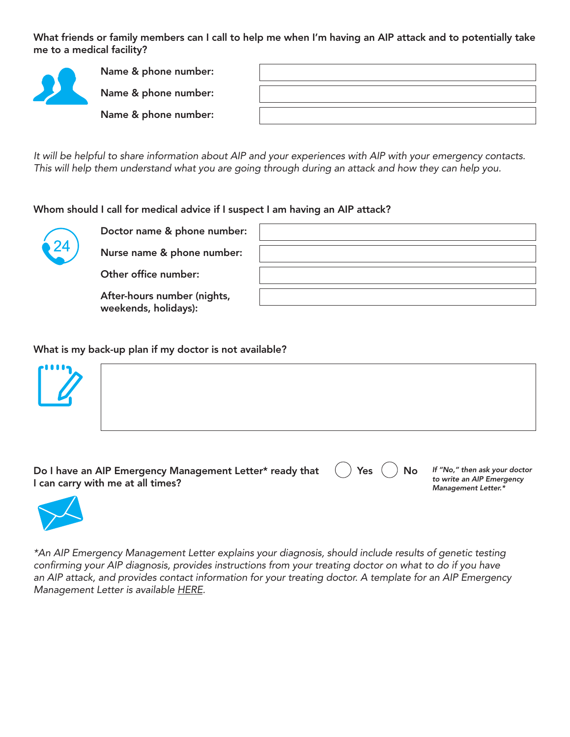What friends or family members can I call to help me when I'm having an AIP attack and to potentially take me to a medical facility?



Name & phone number:

Name & phone number:

Name & phone number:

*It will be helpful to share information about AIP and your experiences with AIP with your emergency contacts. This will help them understand what you are going through during an attack and how they can help you.* 

Whom should I call for medical advice if I suspect I am having an AIP attack?



Doctor name & phone nu

Nurse name & phone nun

Other office number:

After-hours number (nigh weekends, holidays):

| umber: |  |
|--------|--|
| mber:  |  |
|        |  |
| its,   |  |

What is my back-up plan if my doctor is not available?



| Do I have an AIP Emergency Management Letter* ready that () Yes () No If "No," then ask your doctor<br>I can carry with me at all times? |  |  | to write an AIP Emergency<br>Management Letter.* |
|------------------------------------------------------------------------------------------------------------------------------------------|--|--|--------------------------------------------------|
|------------------------------------------------------------------------------------------------------------------------------------------|--|--|--------------------------------------------------|



*\*An AIP Emergency Management Letter explains your diagnosis, should include results of genetic testing confirming your AIP diagnosis, provides instructions from your treating doctor on what to do if you have an AIP attack, and provides contact information for your treating doctor. A template for an AIP Emergency Management Letter is available HERE.*